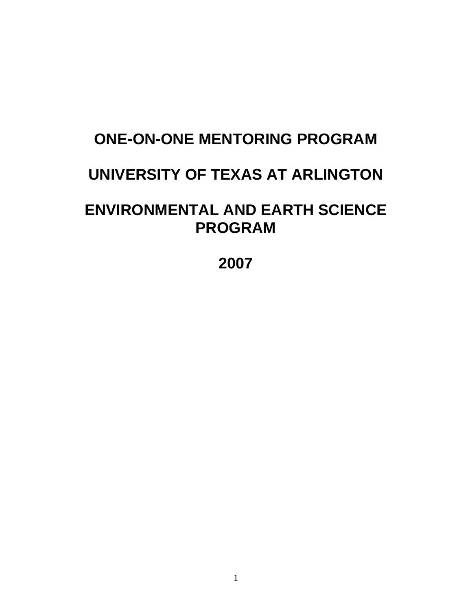# **ONE-ON-ONE MENTORING PROGRAM**

# **UNIVERSITY OF TEXAS AT ARLINGTON**

# **ENVIRONMENTAL AND EARTH SCIENCE PROGRAM**

**2007**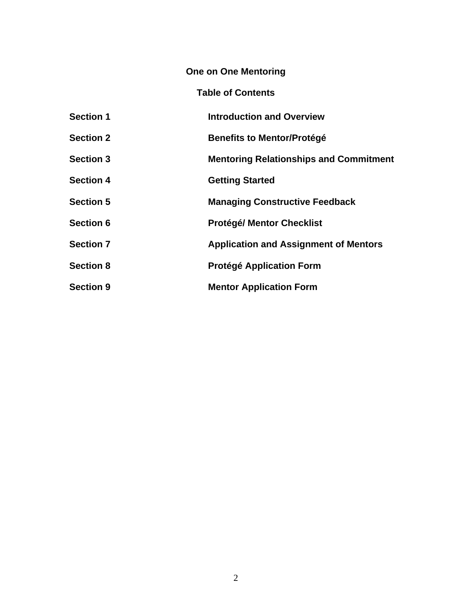# **One on One Mentoring**

# **Table of Contents**

| <b>Section 1</b> | <b>Introduction and Overview</b>              |
|------------------|-----------------------------------------------|
| <b>Section 2</b> | <b>Benefits to Mentor/Protégé</b>             |
| <b>Section 3</b> | <b>Mentoring Relationships and Commitment</b> |
| <b>Section 4</b> | <b>Getting Started</b>                        |
| <b>Section 5</b> | <b>Managing Constructive Feedback</b>         |
| <b>Section 6</b> | <b>Protégé/ Mentor Checklist</b>              |
| <b>Section 7</b> | <b>Application and Assignment of Mentors</b>  |
| <b>Section 8</b> | <b>Protégé Application Form</b>               |
| <b>Section 9</b> | <b>Mentor Application Form</b>                |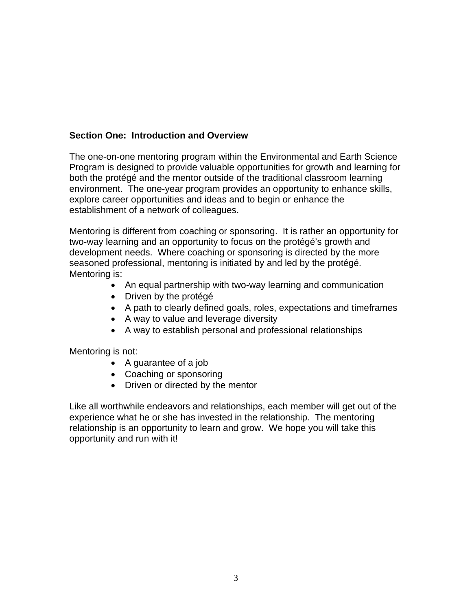### **Section One: Introduction and Overview**

The one-on-one mentoring program within the Environmental and Earth Science Program is designed to provide valuable opportunities for growth and learning for both the protégé and the mentor outside of the traditional classroom learning environment. The one-year program provides an opportunity to enhance skills, explore career opportunities and ideas and to begin or enhance the establishment of a network of colleagues.

Mentoring is different from coaching or sponsoring. It is rather an opportunity for two-way learning and an opportunity to focus on the protégé's growth and development needs. Where coaching or sponsoring is directed by the more seasoned professional, mentoring is initiated by and led by the protégé. Mentoring is:

- An equal partnership with two-way learning and communication
- Driven by the protégé
- A path to clearly defined goals, roles, expectations and timeframes
- A way to value and leverage diversity
- A way to establish personal and professional relationships

Mentoring is not:

- A guarantee of a job
- Coaching or sponsoring
- Driven or directed by the mentor

Like all worthwhile endeavors and relationships, each member will get out of the experience what he or she has invested in the relationship. The mentoring relationship is an opportunity to learn and grow. We hope you will take this opportunity and run with it!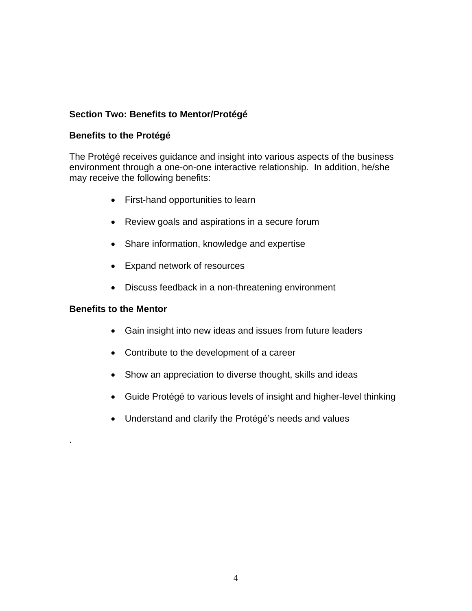## **Section Two: Benefits to Mentor/Protégé**

### **Benefits to the Protégé**

The Protégé receives guidance and insight into various aspects of the business environment through a one-on-one interactive relationship. In addition, he/she may receive the following benefits:

- First-hand opportunities to learn
- Review goals and aspirations in a secure forum
- Share information, knowledge and expertise
- Expand network of resources
- Discuss feedback in a non-threatening environment

### **Benefits to the Mentor**

.

- Gain insight into new ideas and issues from future leaders
- Contribute to the development of a career
- Show an appreciation to diverse thought, skills and ideas
- Guide Protégé to various levels of insight and higher-level thinking
- Understand and clarify the Protégé's needs and values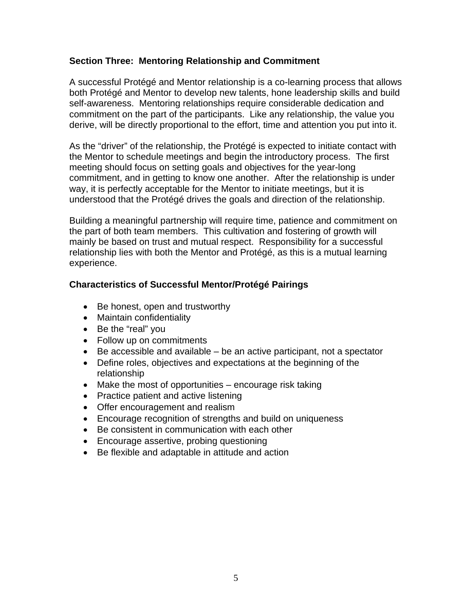### **Section Three: Mentoring Relationship and Commitment**

A successful Protégé and Mentor relationship is a co-learning process that allows both Protégé and Mentor to develop new talents, hone leadership skills and build self-awareness. Mentoring relationships require considerable dedication and commitment on the part of the participants. Like any relationship, the value you derive, will be directly proportional to the effort, time and attention you put into it.

As the "driver" of the relationship, the Protégé is expected to initiate contact with the Mentor to schedule meetings and begin the introductory process. The first meeting should focus on setting goals and objectives for the year-long commitment, and in getting to know one another. After the relationship is under way, it is perfectly acceptable for the Mentor to initiate meetings, but it is understood that the Protégé drives the goals and direction of the relationship.

Building a meaningful partnership will require time, patience and commitment on the part of both team members. This cultivation and fostering of growth will mainly be based on trust and mutual respect. Responsibility for a successful relationship lies with both the Mentor and Protégé, as this is a mutual learning experience.

### **Characteristics of Successful Mentor/Protégé Pairings**

- Be honest, open and trustworthy
- Maintain confidentiality
- Be the "real" you
- Follow up on commitments
- Be accessible and available be an active participant, not a spectator
- Define roles, objectives and expectations at the beginning of the relationship
- Make the most of opportunities encourage risk taking
- Practice patient and active listening
- Offer encouragement and realism
- Encourage recognition of strengths and build on uniqueness
- Be consistent in communication with each other
- Encourage assertive, probing questioning
- Be flexible and adaptable in attitude and action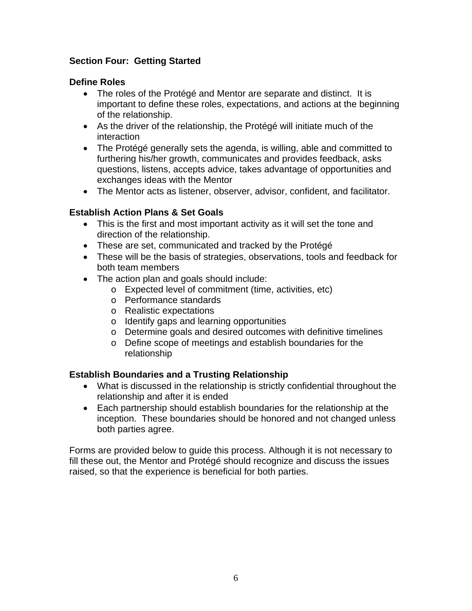### **Section Four: Getting Started**

### **Define Roles**

- The roles of the Protégé and Mentor are separate and distinct. It is important to define these roles, expectations, and actions at the beginning of the relationship.
- As the driver of the relationship, the Protégé will initiate much of the interaction
- The Protégé generally sets the agenda, is willing, able and committed to furthering his/her growth, communicates and provides feedback, asks questions, listens, accepts advice, takes advantage of opportunities and exchanges ideas with the Mentor
- The Mentor acts as listener, observer, advisor, confident, and facilitator.

### **Establish Action Plans & Set Goals**

- This is the first and most important activity as it will set the tone and direction of the relationship.
- These are set, communicated and tracked by the Protégé
- These will be the basis of strategies, observations, tools and feedback for both team members
- The action plan and goals should include:
	- o Expected level of commitment (time, activities, etc)
	- o Performance standards
	- o Realistic expectations
	- o Identify gaps and learning opportunities
	- o Determine goals and desired outcomes with definitive timelines
	- o Define scope of meetings and establish boundaries for the relationship

### **Establish Boundaries and a Trusting Relationship**

- What is discussed in the relationship is strictly confidential throughout the relationship and after it is ended
- Each partnership should establish boundaries for the relationship at the inception. These boundaries should be honored and not changed unless both parties agree.

Forms are provided below to guide this process. Although it is not necessary to fill these out, the Mentor and Protégé should recognize and discuss the issues raised, so that the experience is beneficial for both parties.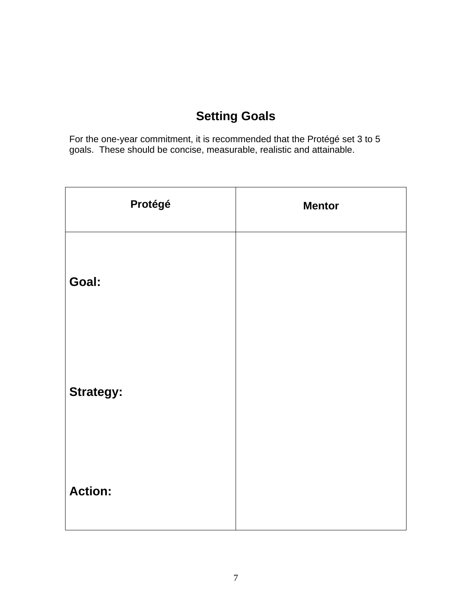# **Setting Goals**

For the one-year commitment, it is recommended that the Protégé set 3 to 5 goals. These should be concise, measurable, realistic and attainable.

| Protégé          | <b>Mentor</b> |
|------------------|---------------|
| Goal:            |               |
| <b>Strategy:</b> |               |
| <b>Action:</b>   |               |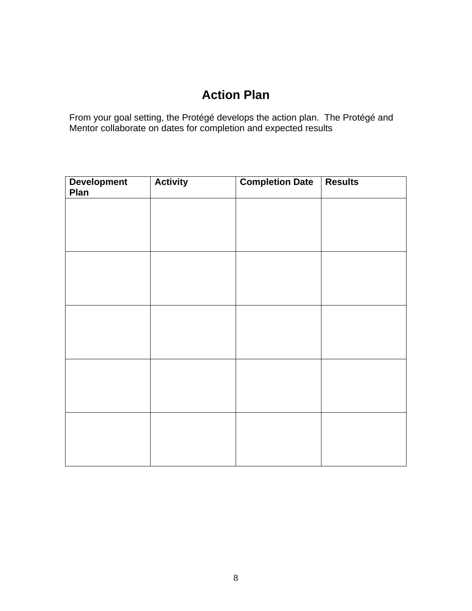# **Action Plan**

From your goal setting, the Protégé develops the action plan. The Protégé and Mentor collaborate on dates for completion and expected results

| <b>Development</b><br>Plan | <b>Activity</b> | <b>Completion Date</b> | <b>Results</b> |
|----------------------------|-----------------|------------------------|----------------|
|                            |                 |                        |                |
|                            |                 |                        |                |
|                            |                 |                        |                |
|                            |                 |                        |                |
|                            |                 |                        |                |
|                            |                 |                        |                |
|                            |                 |                        |                |
|                            |                 |                        |                |
|                            |                 |                        |                |
|                            |                 |                        |                |
|                            |                 |                        |                |
|                            |                 |                        |                |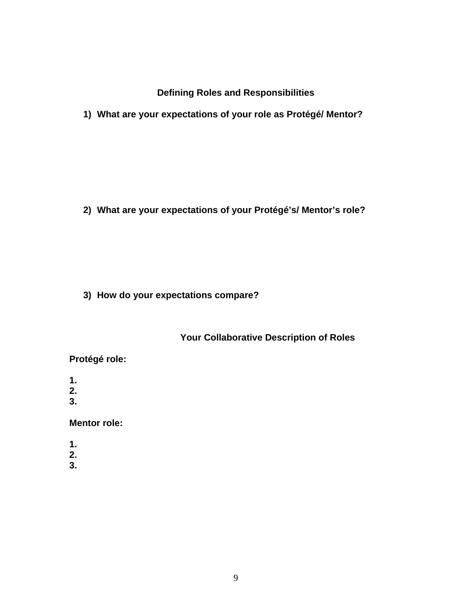**Defining Roles and Responsibilities** 

**1) What are your expectations of your role as Protégé/ Mentor?** 

**2) What are your expectations of your Protégé's/ Mentor's role?** 

**3) How do your expectations compare?** 

# **Your Collaborative Description of Roles**

# **Protégé role:**

- **1.**
- **2.**
- **3.**

## **Mentor role:**

- **1.**
- **2.**
- **3.**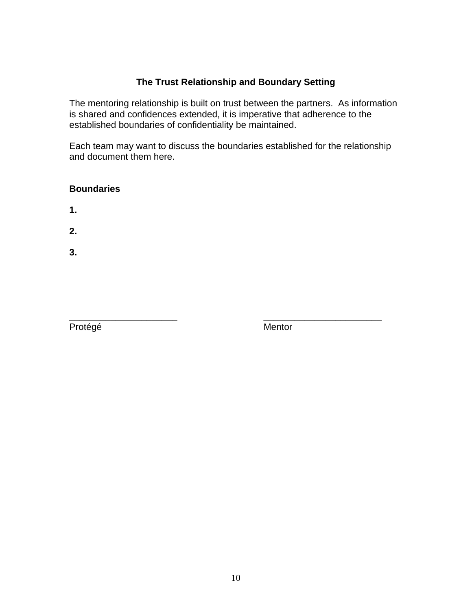## **The Trust Relationship and Boundary Setting**

The mentoring relationship is built on trust between the partners. As information is shared and confidences extended, it is imperative that adherence to the established boundaries of confidentiality be maintained.

Each team may want to discuss the boundaries established for the relationship and document them here.

## **Boundaries**

**1.** 

**2.** 

**3.** 

**\_\_\_\_\_\_\_\_\_\_\_\_\_\_\_\_\_\_\_\_\_ \_\_\_\_\_\_\_\_\_\_\_\_\_\_\_\_\_\_\_\_\_\_\_**  Protégé Mentor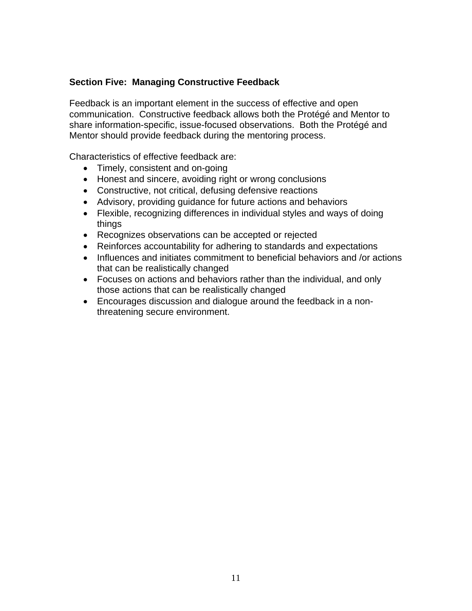### **Section Five: Managing Constructive Feedback**

Feedback is an important element in the success of effective and open communication. Constructive feedback allows both the Protégé and Mentor to share information-specific, issue-focused observations. Both the Protégé and Mentor should provide feedback during the mentoring process.

Characteristics of effective feedback are:

- Timely, consistent and on-going
- Honest and sincere, avoiding right or wrong conclusions
- Constructive, not critical, defusing defensive reactions
- Advisory, providing guidance for future actions and behaviors
- Flexible, recognizing differences in individual styles and ways of doing things
- Recognizes observations can be accepted or rejected
- Reinforces accountability for adhering to standards and expectations
- Influences and initiates commitment to beneficial behaviors and /or actions that can be realistically changed
- Focuses on actions and behaviors rather than the individual, and only those actions that can be realistically changed
- Encourages discussion and dialogue around the feedback in a nonthreatening secure environment.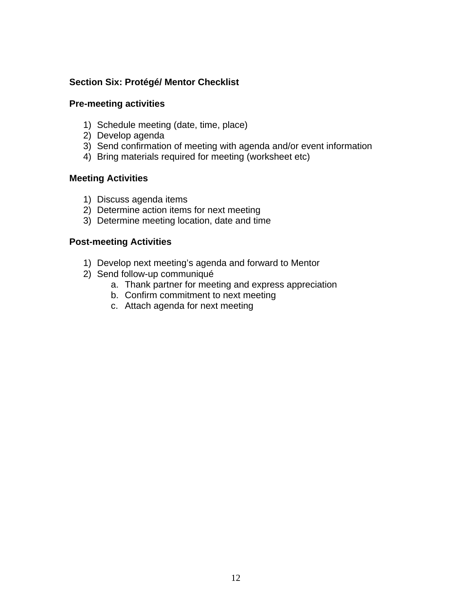### **Section Six: Protégé/ Mentor Checklist**

#### **Pre-meeting activities**

- 1) Schedule meeting (date, time, place)
- 2) Develop agenda
- 3) Send confirmation of meeting with agenda and/or event information
- 4) Bring materials required for meeting (worksheet etc)

### **Meeting Activities**

- 1) Discuss agenda items
- 2) Determine action items for next meeting
- 3) Determine meeting location, date and time

### **Post-meeting Activities**

- 1) Develop next meeting's agenda and forward to Mentor
- 2) Send follow-up communiqué
	- a. Thank partner for meeting and express appreciation
	- b. Confirm commitment to next meeting
	- c. Attach agenda for next meeting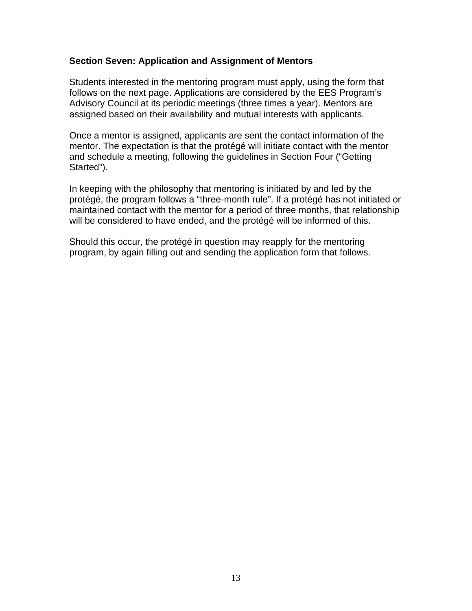#### **Section Seven: Application and Assignment of Mentors**

Students interested in the mentoring program must apply, using the form that follows on the next page. Applications are considered by the EES Program's Advisory Council at its periodic meetings (three times a year). Mentors are assigned based on their availability and mutual interests with applicants.

Once a mentor is assigned, applicants are sent the contact information of the mentor. The expectation is that the protégé will initiate contact with the mentor and schedule a meeting, following the guidelines in Section Four ("Getting Started").

In keeping with the philosophy that mentoring is initiated by and led by the protégé, the program follows a "three-month rule". If a protégé has not initiated or maintained contact with the mentor for a period of three months, that relationship will be considered to have ended, and the protégé will be informed of this.

Should this occur, the protégé in question may reapply for the mentoring program, by again filling out and sending the application form that follows.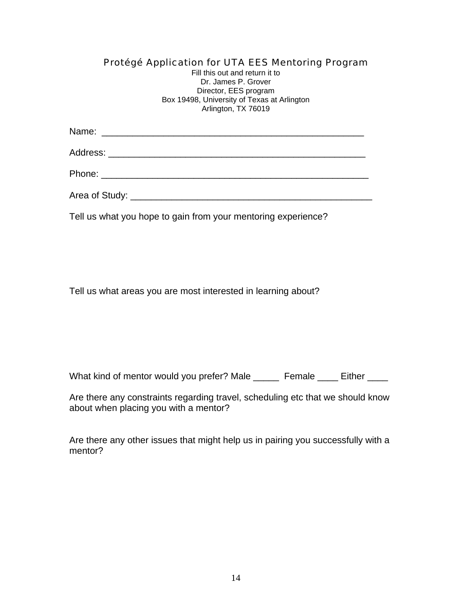### Protégé Application for UTA EES Mentoring Program

Fill this out and return it to Dr. James P. Grover Director, EES program Box 19498, University of Texas at Arlington Arlington, TX 76019

Name: \_\_\_\_\_\_\_\_\_\_\_\_\_\_\_\_\_\_\_\_\_\_\_\_\_\_\_\_\_\_\_\_\_\_\_\_\_\_\_\_\_\_\_\_\_\_\_\_\_\_\_

Address: \_\_\_\_\_\_\_\_\_\_\_\_\_\_\_\_\_\_\_\_\_\_\_\_\_\_\_\_\_\_\_\_\_\_\_\_\_\_\_\_\_\_\_\_\_\_\_\_\_\_

Phone: \_\_\_\_\_\_\_\_\_\_\_\_\_\_\_\_\_\_\_\_\_\_\_\_\_\_\_\_\_\_\_\_\_\_\_\_\_\_\_\_\_\_\_\_\_\_\_\_\_\_\_\_

Area of Study: <u>and the study:</u> the study of  $\mathcal{L}$  is a study of  $\mathcal{L}$  is a study of  $\mathcal{L}$  is a study:

Tell us what you hope to gain from your mentoring experience?

Tell us what areas you are most interested in learning about?

What kind of mentor would you prefer? Male \_\_\_\_\_ Female \_\_\_\_ Either \_\_\_\_

Are there any constraints regarding travel, scheduling etc that we should know about when placing you with a mentor?

Are there any other issues that might help us in pairing you successfully with a mentor?